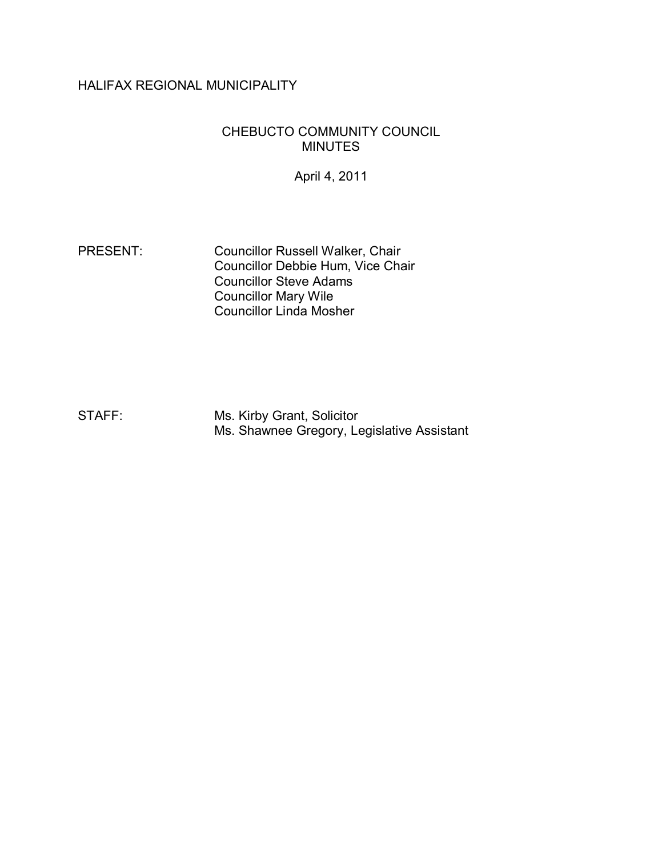# HALIFAX REGIONAL MUNICIPALITY

#### CHEBUCTO COMMUNITY COUNCIL MINUTES

April 4, 2011

PRESENT: Councillor Russell Walker, Chair Councillor Debbie Hum, Vice Chair Councillor Steve Adams Councillor Mary Wile Councillor Linda Mosher

STAFF: Ms. Kirby Grant, Solicitor Ms. Shawnee Gregory, Legislative Assistant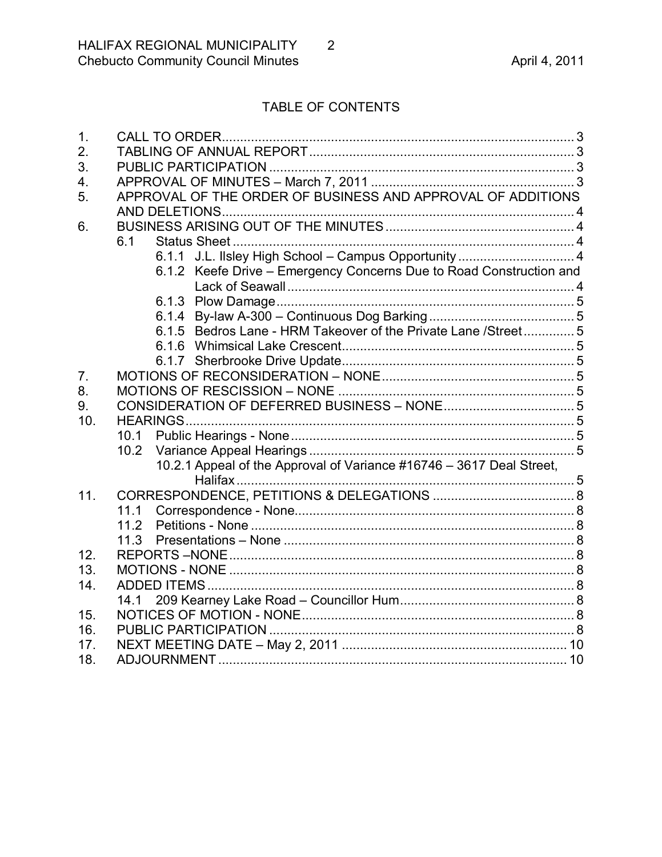# TABLE OF CONTENTS

| $\mathbf 1$ .  |                                                                      |  |
|----------------|----------------------------------------------------------------------|--|
| 2.             |                                                                      |  |
| 3.             |                                                                      |  |
| 4.             |                                                                      |  |
| 5.             | APPROVAL OF THE ORDER OF BUSINESS AND APPROVAL OF ADDITIONS          |  |
|                |                                                                      |  |
| 6.             |                                                                      |  |
|                | 6.1                                                                  |  |
|                | 6.1.1 J.L. Ilsley High School - Campus Opportunity  4                |  |
|                | 6.1.2 Keefe Drive - Emergency Concerns Due to Road Construction and  |  |
|                |                                                                      |  |
|                |                                                                      |  |
|                |                                                                      |  |
|                | 6.1.5 Bedros Lane - HRM Takeover of the Private Lane / Street 5      |  |
|                |                                                                      |  |
|                |                                                                      |  |
| 7 <sub>1</sub> |                                                                      |  |
| 8.             |                                                                      |  |
| 9.             |                                                                      |  |
| 10.            |                                                                      |  |
|                | 10.1                                                                 |  |
|                | 10.2 <sub>1</sub>                                                    |  |
|                | 10.2.1 Appeal of the Approval of Variance #16746 - 3617 Deal Street, |  |
|                | Halifax                                                              |  |
| 11.            |                                                                      |  |
|                | 11.1                                                                 |  |
|                | 11.2                                                                 |  |
|                | 11.3                                                                 |  |
| 12.            |                                                                      |  |
| 13.            |                                                                      |  |
| 14.            |                                                                      |  |
|                | 14.1                                                                 |  |
| 15.            |                                                                      |  |
| 16.            |                                                                      |  |
| 17.            |                                                                      |  |
| 18.            | ADJOURNMENT.                                                         |  |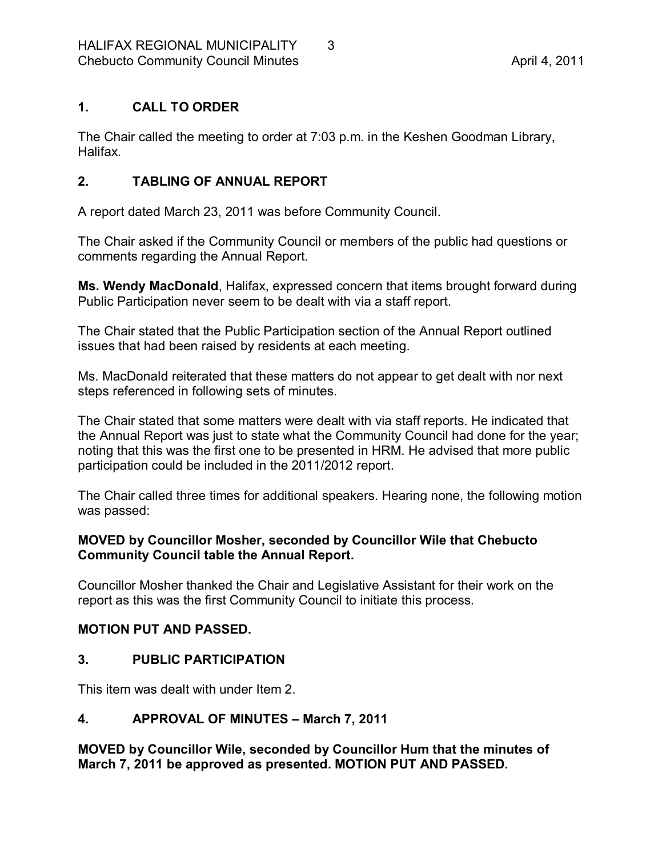## <span id="page-2-0"></span>**1. CALL TO ORDER**

The Chair called the meeting to order at 7:03 p.m. in the Keshen Goodman Library, Halifax.

## <span id="page-2-1"></span>**2. TABLING OF ANNUAL REPORT**

A report dated March 23, 2011 was before Community Council.

The Chair asked if the Community Council or members of the public had questions or comments regarding the Annual Report.

**Ms. Wendy MacDonald**, Halifax, expressed concern that items brought forward during Public Participation never seem to be dealt with via a staff report.

The Chair stated that the Public Participation section of the Annual Report outlined issues that had been raised by residents at each meeting.

Ms. MacDonald reiterated that these matters do not appear to get dealt with nor next steps referenced in following sets of minutes.

The Chair stated that some matters were dealt with via staff reports. He indicated that the Annual Report was just to state what the Community Council had done for the year; noting that this was the first one to be presented in HRM. He advised that more public participation could be included in the 2011/2012 report.

The Chair called three times for additional speakers. Hearing none, the following motion was passed:

#### **MOVED by Councillor Mosher, seconded by Councillor Wile that Chebucto Community Council table the Annual Report.**

Councillor Mosher thanked the Chair and Legislative Assistant for their work on the report as this was the first Community Council to initiate this process.

## **MOTION PUT AND PASSED.**

## <span id="page-2-2"></span>**3. PUBLIC PARTICIPATION**

This item was dealt with under Item 2.

## <span id="page-2-3"></span>**4. APPROVAL OF MINUTES – March 7, 2011**

**MOVED by Councillor Wile, seconded by Councillor Hum that the minutes of March 7, 2011 be approved as presented. MOTION PUT AND PASSED.**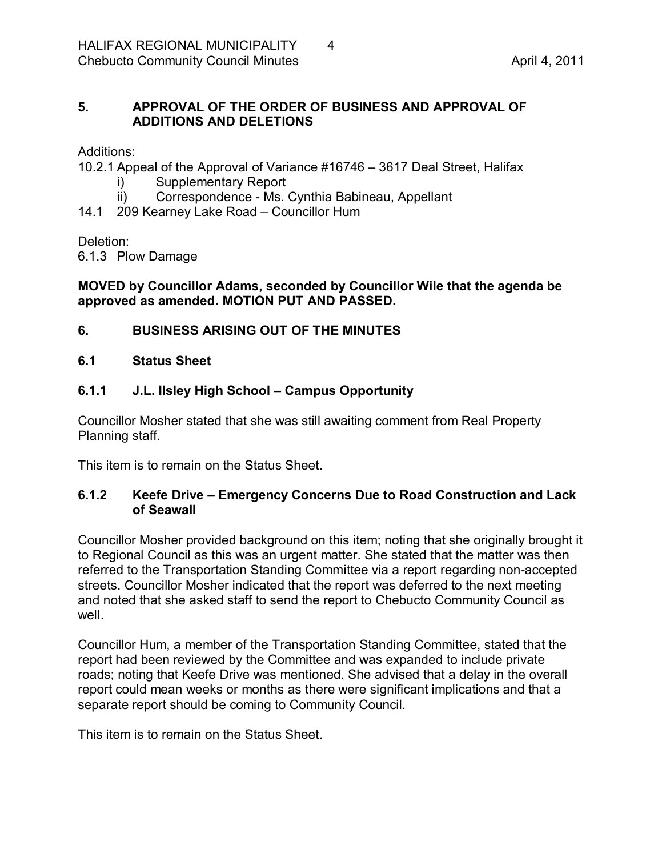## <span id="page-3-0"></span>**5. APPROVAL OF THE ORDER OF BUSINESS AND APPROVAL OF ADDITIONS AND DELETIONS**

Additions:

10.2.1 Appeal of the Approval of Variance #16746 – 3617 Deal Street, Halifax

- i) Supplementary Report
- ii) Correspondence Ms. Cynthia Babineau, Appellant
- 14.1 209 Kearney Lake Road Councillor Hum

#### Deletion:

6.1.3 Plow Damage

#### **MOVED by Councillor Adams, seconded by Councillor Wile that the agenda be approved as amended. MOTION PUT AND PASSED.**

## <span id="page-3-1"></span>**6. BUSINESS ARISING OUT OF THE MINUTES**

#### <span id="page-3-2"></span>**6.1 Status Sheet**

## <span id="page-3-3"></span>**6.1.1 J.L. Ilsley High School – Campus Opportunity**

Councillor Mosher stated that she was still awaiting comment from Real Property Planning staff.

This item is to remain on the Status Sheet.

#### <span id="page-3-4"></span>**6.1.2 Keefe Drive – Emergency Concerns Due to Road Construction and Lack of Seawall**

Councillor Mosher provided background on this item; noting that she originally brought it to Regional Council as this was an urgent matter. She stated that the matter was then referred to the Transportation Standing Committee via a report regarding non-accepted streets. Councillor Mosher indicated that the report was deferred to the next meeting and noted that she asked staff to send the report to Chebucto Community Council as well

Councillor Hum, a member of the Transportation Standing Committee, stated that the report had been reviewed by the Committee and was expanded to include private roads; noting that Keefe Drive was mentioned. She advised that a delay in the overall report could mean weeks or months as there were significant implications and that a separate report should be coming to Community Council.

This item is to remain on the Status Sheet.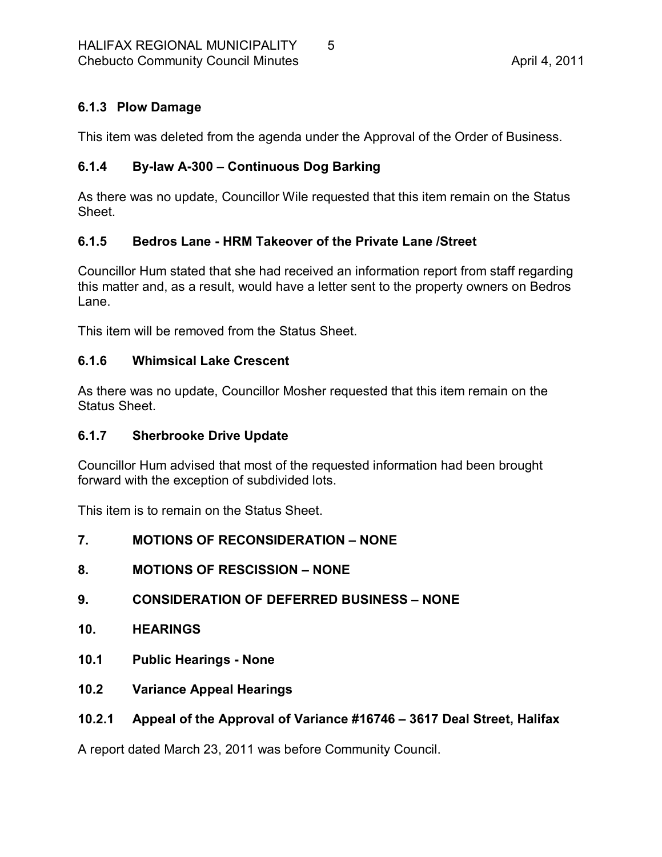# <span id="page-4-0"></span>**6.1.3 Plow Damage**

This item was deleted from the agenda under the Approval of the Order of Business.

# <span id="page-4-1"></span>**6.1.4 Bylaw A300 – Continuous Dog Barking**

As there was no update, Councillor Wile requested that this item remain on the Status Sheet.

## <span id="page-4-2"></span>**6.1.5 Bedros Lane HRM Takeover of the Private Lane /Street**

Councillor Hum stated that she had received an information report from staff regarding this matter and, as a result, would have a letter sent to the property owners on Bedros Lane.

This item will be removed from the Status Sheet.

## <span id="page-4-3"></span>**6.1.6 Whimsical Lake Crescent**

As there was no update, Councillor Mosher requested that this item remain on the Status Sheet.

## <span id="page-4-4"></span>**6.1.7 Sherbrooke Drive Update**

Councillor Hum advised that most of the requested information had been brought forward with the exception of subdivided lots.

This item is to remain on the Status Sheet.

## <span id="page-4-5"></span>**7. MOTIONS OF RECONSIDERATION – NONE**

<span id="page-4-6"></span>**8. MOTIONS OF RESCISSION – NONE**

# <span id="page-4-7"></span>**9. CONSIDERATION OF DEFERRED BUSINESS – NONE**

- <span id="page-4-8"></span>**10. HEARINGS**
- <span id="page-4-9"></span>**10.1 Public Hearings None**
- <span id="page-4-10"></span>**10.2 Variance Appeal Hearings**

# <span id="page-4-11"></span>**10.2.1 Appeal of the Approval of Variance #16746 – 3617 Deal Street, Halifax**

A report dated March 23, 2011 was before Community Council.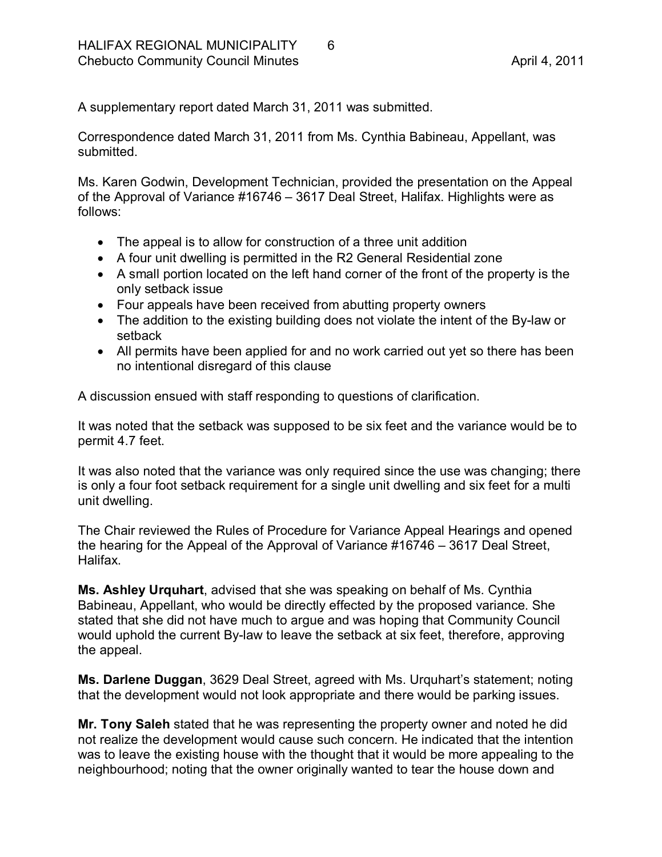A supplementary report dated March 31, 2011 was submitted.

Correspondence dated March 31, 2011 from Ms. Cynthia Babineau, Appellant, was submitted.

Ms. Karen Godwin, Development Technician, provided the presentation on the Appeal of the Approval of Variance #16746 – 3617 Deal Street, Halifax. Highlights were as follows:

- · The appeal is to allow for construction of a three unit addition
- · A four unit dwelling is permitted in the R2 General Residential zone
- · A small portion located on the left hand corner of the front of the property is the only setback issue
- Four appeals have been received from abutting property owners
- The addition to the existing building does not violate the intent of the By-law or setback
- · All permits have been applied for and no work carried out yet so there has been no intentional disregard of this clause

A discussion ensued with staff responding to questions of clarification.

It was noted that the setback was supposed to be six feet and the variance would be to permit 4.7 feet.

It was also noted that the variance was only required since the use was changing; there is only a four foot setback requirement for a single unit dwelling and six feet for a multi unit dwelling.

The Chair reviewed the Rules of Procedure for Variance Appeal Hearings and opened the hearing for the Appeal of the Approval of Variance #16746 – 3617 Deal Street, Halifax.

**Ms. Ashley Urquhart**, advised that she was speaking on behalf of Ms. Cynthia Babineau, Appellant, who would be directly effected by the proposed variance. She stated that she did not have much to argue and was hoping that Community Council would uphold the current By-law to leave the setback at six feet, therefore, approving the appeal.

**Ms. Darlene Duggan**, 3629 Deal Street, agreed with Ms. Urquhart's statement; noting that the development would not look appropriate and there would be parking issues.

**Mr. Tony Saleh** stated that he was representing the property owner and noted he did not realize the development would cause such concern. He indicated that the intention was to leave the existing house with the thought that it would be more appealing to the neighbourhood; noting that the owner originally wanted to tear the house down and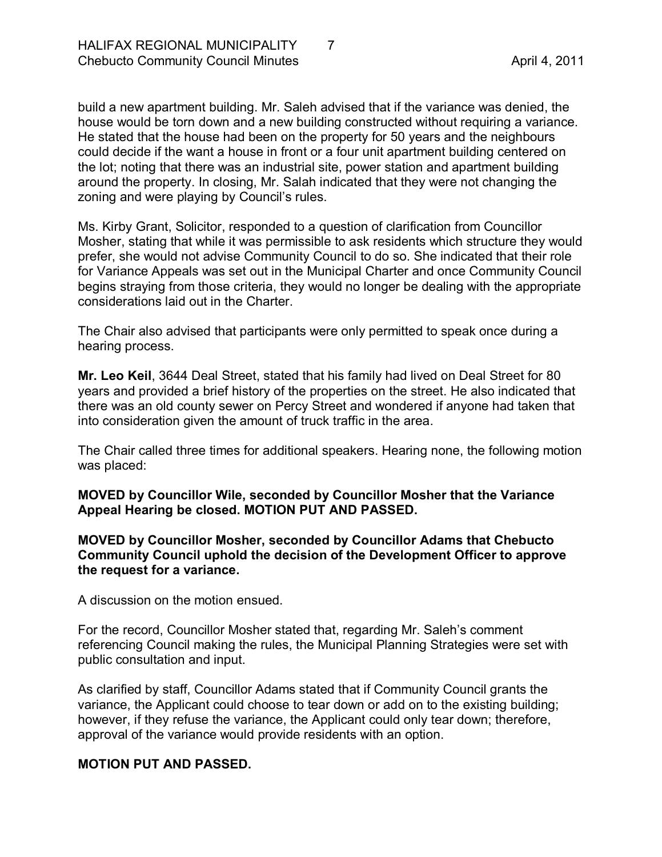build a new apartment building. Mr. Saleh advised that if the variance was denied, the house would be torn down and a new building constructed without requiring a variance. He stated that the house had been on the property for 50 years and the neighbours could decide if the want a house in front or a four unit apartment building centered on the lot; noting that there was an industrial site, power station and apartment building around the property. In closing, Mr. Salah indicated that they were not changing the zoning and were playing by Council's rules.

Ms. Kirby Grant, Solicitor, responded to a question of clarification from Councillor Mosher, stating that while it was permissible to ask residents which structure they would prefer, she would not advise Community Council to do so. She indicated that their role for Variance Appeals was set out in the Municipal Charter and once Community Council begins straying from those criteria, they would no longer be dealing with the appropriate considerations laid out in the Charter.

The Chair also advised that participants were only permitted to speak once during a hearing process.

**Mr. Leo Keil**, 3644 Deal Street, stated that his family had lived on Deal Street for 80 years and provided a brief history of the properties on the street. He also indicated that there was an old county sewer on Percy Street and wondered if anyone had taken that into consideration given the amount of truck traffic in the area.

The Chair called three times for additional speakers. Hearing none, the following motion was placed:

**MOVED by Councillor Wile, seconded by Councillor Mosher that the Variance Appeal Hearing be closed. MOTION PUT AND PASSED.** 

**MOVED by Councillor Mosher, seconded by Councillor Adams that Chebucto Community Council uphold the decision of the Development Officer to approve the request for a variance.**

A discussion on the motion ensued.

For the record, Councillor Mosher stated that, regarding Mr. Saleh's comment referencing Council making the rules, the Municipal Planning Strategies were set with public consultation and input.

As clarified by staff, Councillor Adams stated that if Community Council grants the variance, the Applicant could choose to tear down or add on to the existing building; however, if they refuse the variance, the Applicant could only tear down; therefore, approval of the variance would provide residents with an option.

#### **MOTION PUT AND PASSED.**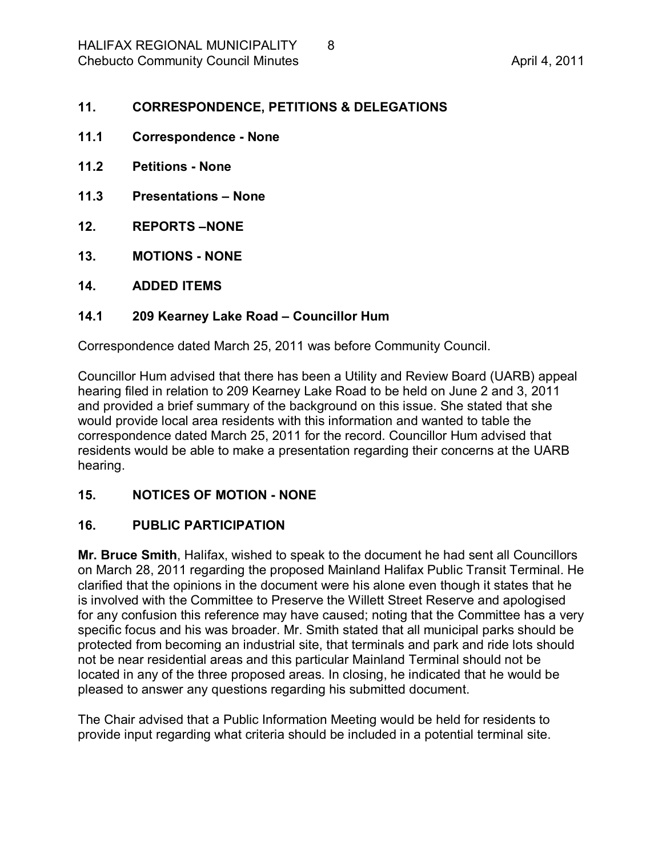#### <span id="page-7-0"></span>**11. CORRESPONDENCE, PETITIONS & DELEGATIONS**

- <span id="page-7-1"></span>**11.1 Correspondence None**
- <span id="page-7-2"></span>**11.2 Petitions None**
- <span id="page-7-3"></span>**11.3 Presentations – None**
- <span id="page-7-4"></span>**12. REPORTS –NONE**
- <span id="page-7-5"></span>**13. MOTIONS NONE**
- <span id="page-7-6"></span>**14. ADDED ITEMS**

#### <span id="page-7-7"></span>**14.1 209 Kearney Lake Road – Councillor Hum**

Correspondence dated March 25, 2011 was before Community Council.

Councillor Hum advised that there has been a Utility and Review Board (UARB) appeal hearing filed in relation to 209 Kearney Lake Road to be held on June 2 and 3, 2011 and provided a brief summary of the background on this issue. She stated that she would provide local area residents with this information and wanted to table the correspondence dated March 25, 2011 for the record. Councillor Hum advised that residents would be able to make a presentation regarding their concerns at the UARB hearing.

#### <span id="page-7-8"></span>**15. NOTICES OF MOTION NONE**

# <span id="page-7-9"></span>**16. PUBLIC PARTICIPATION**

**Mr. Bruce Smith**, Halifax, wished to speak to the document he had sent all Councillors on March 28, 2011 regarding the proposed Mainland Halifax Public Transit Terminal. He clarified that the opinions in the document were his alone even though it states that he is involved with the Committee to Preserve the Willett Street Reserve and apologised for any confusion this reference may have caused; noting that the Committee has a very specific focus and his was broader. Mr. Smith stated that all municipal parks should be protected from becoming an industrial site, that terminals and park and ride lots should not be near residential areas and this particular Mainland Terminal should not be located in any of the three proposed areas. In closing, he indicated that he would be pleased to answer any questions regarding his submitted document.

The Chair advised that a Public Information Meeting would be held for residents to provide input regarding what criteria should be included in a potential terminal site.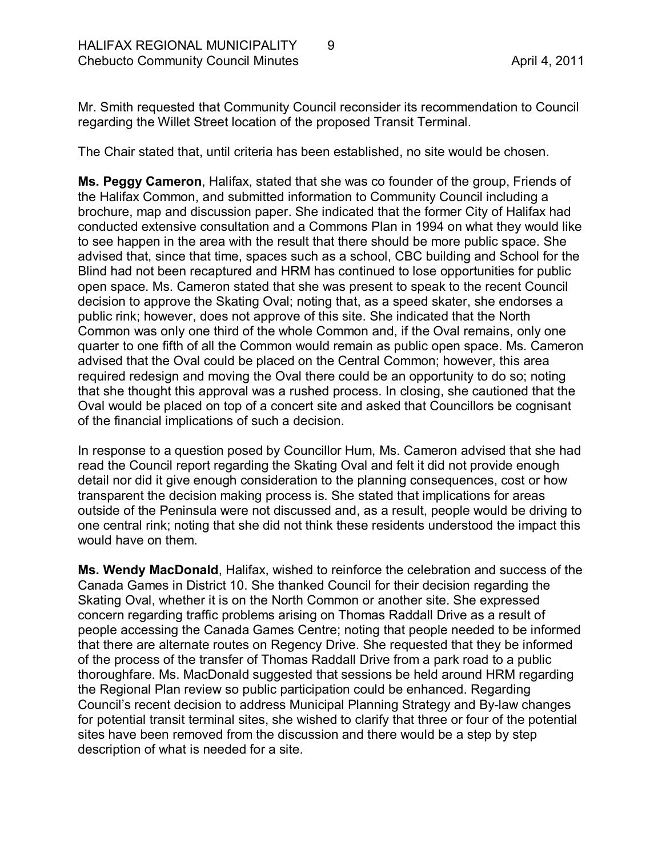Mr. Smith requested that Community Council reconsider its recommendation to Council regarding the Willet Street location of the proposed Transit Terminal.

The Chair stated that, until criteria has been established, no site would be chosen.

**Ms. Peggy Cameron**, Halifax, stated that she was co founder of the group, Friends of the Halifax Common, and submitted information to Community Council including a brochure, map and discussion paper. She indicated that the former City of Halifax had conducted extensive consultation and a Commons Plan in 1994 on what they would like to see happen in the area with the result that there should be more public space. She advised that, since that time, spaces such as a school, CBC building and School for the Blind had not been recaptured and HRM has continued to lose opportunities for public open space. Ms. Cameron stated that she was present to speak to the recent Council decision to approve the Skating Oval; noting that, as a speed skater, she endorses a public rink; however, does not approve of this site. She indicated that the North Common was only one third of the whole Common and, if the Oval remains, only one quarter to one fifth of all the Common would remain as public open space. Ms. Cameron advised that the Oval could be placed on the Central Common; however, this area required redesign and moving the Oval there could be an opportunity to do so; noting that she thought this approval was a rushed process. In closing, she cautioned that the Oval would be placed on top of a concert site and asked that Councillors be cognisant of the financial implications of such a decision.

In response to a question posed by Councillor Hum, Ms. Cameron advised that she had read the Council report regarding the Skating Oval and felt it did not provide enough detail nor did it give enough consideration to the planning consequences, cost or how transparent the decision making process is. She stated that implications for areas outside of the Peninsula were not discussed and, as a result, people would be driving to one central rink; noting that she did not think these residents understood the impact this would have on them.

**Ms. Wendy MacDonald**, Halifax, wished to reinforce the celebration and success of the Canada Games in District 10. She thanked Council for their decision regarding the Skating Oval, whether it is on the North Common or another site. She expressed concern regarding traffic problems arising on Thomas Raddall Drive as a result of people accessing the Canada Games Centre; noting that people needed to be informed that there are alternate routes on Regency Drive. She requested that they be informed of the process of the transfer of Thomas Raddall Drive from a park road to a public thoroughfare. Ms. MacDonald suggested that sessions be held around HRM regarding the Regional Plan review so public participation could be enhanced. Regarding Council's recent decision to address Municipal Planning Strategy and By-law changes for potential transit terminal sites, she wished to clarify that three or four of the potential sites have been removed from the discussion and there would be a step by step description of what is needed for a site.